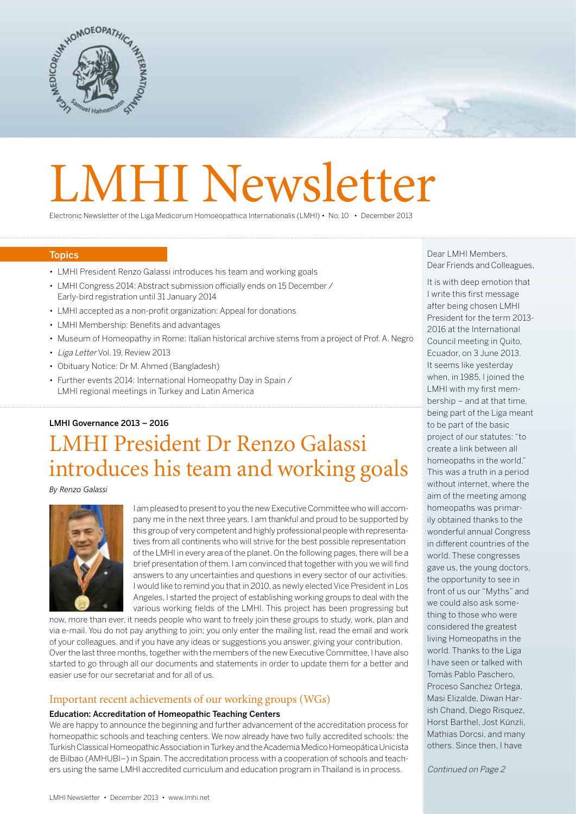

# LMHI Newsletter

Electronic Newsletter of the Liga Medicorum Homoeopathica Internationalis (LMHI) • No. 10 • December 2013

#### **Topics**

- LMHI President Renzo Galassi introduces his team and working goals
- LMHI Congress 2014: Abstract submission officially ends on 15 December / Early-bird registration until 31 January 2014
- LMHI accepted as a non-profit organization: Appeal for donations
- LMHI Membership: Benefits and advantages
- Museum of Homeopathy in Rome: Italian historical archive stems from a project of Prof.A. Negro
- Liga Letter Vol. 19, Review 2013
- Obituary Notice: Dr M.Ahmed (Bangladesh)
- Further events 2014: International Homeopathy Day in Spain / LMHI regional meetings in Turkey and Latin America

#### LMHI Governance 2013 – 2016

# LMHI President Dr Renzo Galassi introduces his team and working goals

*By Renzo Galassi*



I am pleased to present to you the new Executive Committee who will accompany me in the next three years. I am thankful and proud to be supported by this group of very competent and highly professional people with representatives from all continents who will strive for the best possible representation of the LMHI in every area of the planet. On the following pages, there will be a brief presentation of them. I am convinced that together with you we will find answers to any uncertainties and questions in every sector of our activities. I would like to remind you that in 2010, as newly elected Vice President in Los Angeles, I started the project of establishing working groups to deal with the various working fields of the LMHI. This project has been progressing but

now, more than ever, it needs people who want to freely join these groups to study, work, plan and via e-mail. You do not pay anything to join; you only enter the mailing list, read the email and work of your colleagues, and if you have any ideas or suggestions you answer, giving your contribution. Over the last three months, together with the members of the new Executive Committee, I have also started to go through all our documents and statements in order to update them for a better and easier use for our secretariat and for all of us.

#### Important recent achievements of our working groups (WGs)

#### Education: Accreditation of Homeopathic Teaching Centers

We are happy to announce the beginning and further advancement of the accreditation process for homeopathic schools and teaching centers. We now already have two fully accredited schools: the Turkish Classical Homeopathic Association in Turkey and the Academia Medico Homeopática Unicista de Bilbao (AMHUBI–) in Spain.The accreditation process with a cooperation of schools and teachers using the same LMHI accredited curriculum and education program in Thailand is in process.

Dear LMHI Members, Dear Friends and Colleagues,

It is with deep emotion that I write this first message after being chosen LMHI President for the term 2013- 2016 at the International Council meeting in Quito, Ecuador, on 3 June 2013. It seems like yesterday when, in 1985. I joined the LMHI with my first membership – and at that time, being part of the Liga meant to be part of the basic project of our statutes: "to create a link between all homeopaths in the world." This was a truth in a period without internet, where the aim of the meeting among homeopaths was primarily obtained thanks to the wonderful annual Congress in different countries of the world. These congresses gave us, the young doctors, the opportunity to see in front of us our "Myths" and we could also ask something to those who were considered the greatest living Homeopaths in the world. Thanks to the Liga I have seen or talked with Tomàs Pablo Paschero, Proceso Sanchez Ortega, Masi Elizalde, Diwan Harish Chand, Diego Risquez, Horst Barthel, Jost Künzli, Mathias Dorcsi, and many others. Since then, I have

Continued on Page 2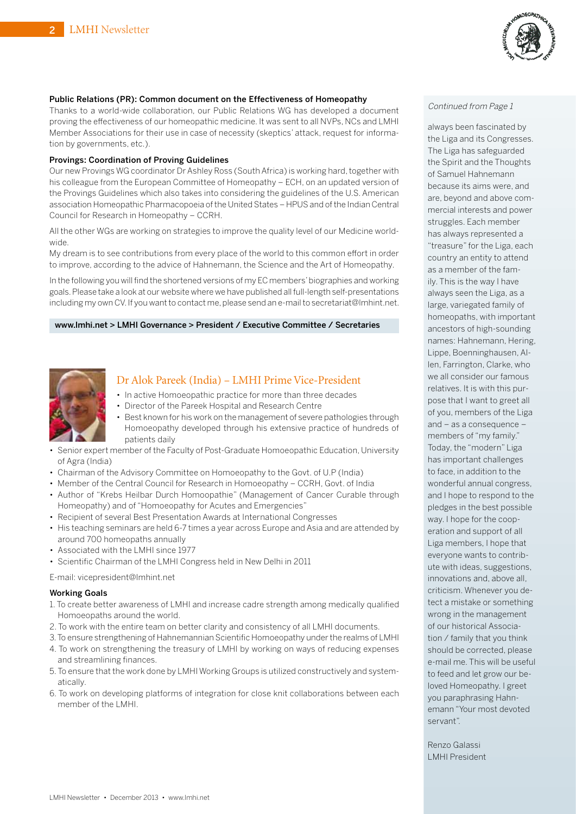

# Public Relations (PR): Common document on the Effectiveness of Homeopathy<br>Theolis to a world wide sellaberation, our Public Pelations MC has developed a decument Continued from Page 1

Thanks to a world-wide collaboration, our Public Relations WG has developed a document proving the effectiveness of our homeopathic medicine. It was sent to all NVPs, NCs and LMHI Member Associations for their use in case of necessity (skeptics' attack, request for information by governments, etc.).

#### Provings: Coordination of Proving Guidelines

Our new Provings WG coordinator Dr Ashley Ross (South Africa) is working hard, together with his colleague from the European Committee of Homeopathy – ECH, on an updated version of the Provings Guidelines which also takes into considering the guidelines of the U.S. American association Homeopathic Pharmacopoeia ofthe United States – HPUS and ofthe Indian Central Council for Research in Homeopathy – CCRH.

All the other WGs are working on strategies to improve the quality level of our Medicine worldwide.

My dream is to see contributions from every place of the world to this common effort in order to improve, according to the advice of Hahnemann, the Science and the Art of Homeopathy.

In the following you will find the shortened versions of my EC members'biographies and working goals.Please take a look at our website where we have published all full-length self-presentations including my own CV. If you want to contact me, please send an e-mail to [secretariat@lmhint.net.](mailto:secretariat@lmhint.net)

#### [www.lmhi.net >](http://www.lmhi.net) LMHI Governance > President / Executive Committee / Secretaries



#### Dr Alok Pareek (India) – LMHI Prime Vice-President

- In active Homoeopathic practice for more than three decades
- Director of the Pareek Hospital and Research Centre
- Best known for his work on the management of severe pathologies through Homoeopathy developed through his extensive practice of hundreds of patients daily
- Senior expert member of the Faculty of Post-Graduate Homoeopathic Education, University of Agra (India)
- Chairman of the Advisory Committee on Homoeopathy to the Govt. of U.P (India)
- Member of the Central Council for Research in Homoeopathy CCRH, Govt. of India
- Author of "Krebs Heilbar Durch Homoopathie" (Management of Cancer Curable through Homeopathy) and of "Homoeopathy for Acutes and Emergencies"
- Recipient of several Best Presentation Awards at International Congresses
- His teaching seminars are held 6-7 times a year across Europe and Asia and are attended by around 700 homeopaths annually
- Associated with the LMHI since 1977
- Scientific Chairman of the LMHI Congress held in New Delhi in 2011

E-mail: [vicepresident@lmhint.net](mailto:vicepresident@lmhint.net)

#### Working Goals

- 1. To create better awareness of LMHI and increase cadre strength among medically qualified Homoeopaths around the world.
- 2. To work with the entire team on better clarity and consistency of all LMHI documents.
- 3.To ensure strengthening of Hahnemannian Scientific Homoeopathy underthe realms of LMHI 4. To work on strengthening the treasury of LMHI by working on ways of reducing expenses
- and streamlining finances. 5. To ensure that the work done by LMHI Working Groups is utilized constructively and systematically.
- 6. To work on developing platforms of integration for close knit collaborations between each member of the LMHI.

always been fascinated by the Liga and its Congresses. The Liga has safeguarded the Spirit and the Thoughts of Samuel Hahnemann because its aims were, and are, beyond and above commercial interests and power struggles. Each member has always represented a "treasure" for the Liga, each country an entity to attend as a member of the family. This is the way I have always seen the Liga, as a large, variegated family of homeopaths, with important ancestors of high-sounding names: Hahnemann, Hering, Lippe, Boenninghausen, Allen, Farrington, Clarke, who we all consider our famous relatives. It is with this purpose that I want to greet all of you, members of the Liga and – as a consequence – members of "my family." Today, the "modern" Liga has important challenges to face, in addition to the wonderful annual congress, and I hope to respond to the pledges in the best possible way. I hope for the cooperation and support of all Liga members, I hope that everyone wants to contribute with ideas, suggestions, innovations and, above all, criticism. Whenever you detect a mistake or something wrong in the management of our historical Association / family that you think should be corrected, please e-mail me. This will be useful to feed and let grow our beloved Homeopathy. I greet you paraphrasing Hahnemann "Your most devoted servant".

Renzo Galassi LMHI President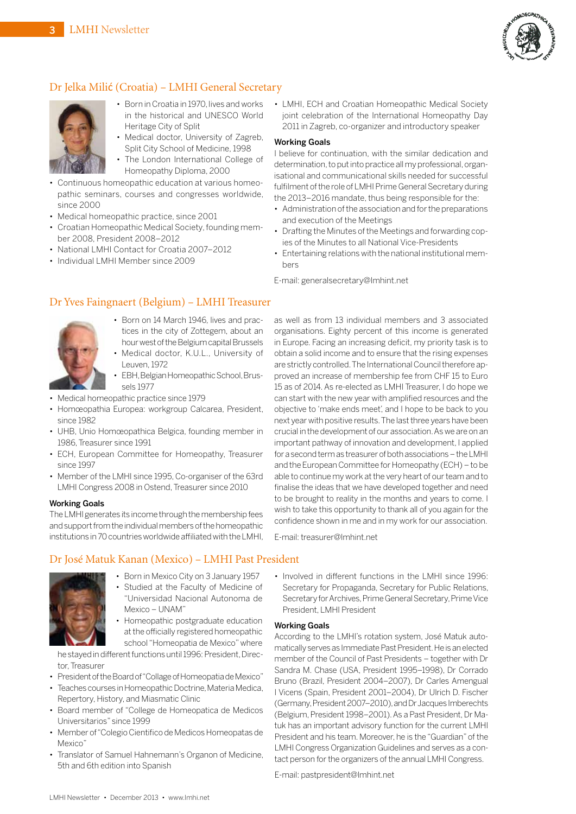

# Dr Jelka Milić (Croatia) – LMHI General Secretary



- Born in Croatia in 1970, lives and works in the historical and UNESCO World Heritage City of Split
- Medical doctor, University of Zagreb, Split City School of Medicine, 1998
- The London International College of Homeopathy Diploma, 2000
- Continuous homeopathic education at various homeopathic seminars, courses and congresses worldwide, since 2000
- Medical homeopathic practice, since 2001
- Croatian Homeopathic Medical Society, founding member 2008, President 2008–2012
- National LMHI Contact for Croatia 2007–2012
- Individual LMHI Member since 2009

• LMHI, ECH and Croatian Homeopathic Medical Society joint celebration of the International Homeopathy Day 2011 in Zagreb, co-organizer and introductory speaker

#### Working Goals

I believe for continuation, with the similar dedication and determination, to put into practice all my professional, organisational and communicational skills needed for successful fulfilment of the role of LMHI Prime General Secretary during the 2013–2016 mandate, thus being responsible for the:

- Administration of the association and for the preparations and execution of the Meetings
- Drafting the Minutes of the Meetings and forwarding copies of the Minutes to all National Vice-Presidents
- Entertaining relations with the national institutional members

E-mail: [generalsecretary@lmhint.net](mailto:generalsecretary@lmhint.net)

#### Dr Yves Faingnaert (Belgium) – LMHI Treasurer



- Born on 14 March 1946, lives and practices in the city of Zottegem, about an hour west of the Belgium capital Brussels
- Medical doctor, K.U.L., University of Leuven, 1972
- EBH, Belgian Homeopathic School, Brussels 1977
- Medical homeopathic practice since 1979
- Homœopathia Europea: workgroup Calcarea, President, since 1982
- UHB, Unio Homœopathica Belgica, founding member in 1986,Treasurer since 1991
- ECH, European Committee for Homeopathy, Treasurer since 1997
- Member of the LMHI since 1995, Co-organiser of the 63rd LMHI Congress 2008 in Ostend, Treasurer since 2010

#### Working Goals

The LMHI generates its income through the membership fees and support from the individual members of the homeopathic institutions in70countriesworldwideaffiliatedwiththeLMHI,

#### Dr José Matuk Kanan (Mexico) – LMHI Past President



- Born in Mexico City on 3 January 1957 • Studied at the Faculty of Medicine of "Universidad Nacional Autonoma de Mexico – UNAM"
- Homeopathic postgraduate education at the officially registered homeopathic school "Homeopatia de Mexico"where

he stayed in different functions until 1996: President, Director,Treasurer

- President of the Board of "Collage of Homeopatia de Mexico"
- Teaches courses in Homeopathic Doctrine, Materia Medica, Repertory, History, and Miasmatic Clinic
- Board member of "College de Homeopatica de Medicos Universitarios" since 1999
- Member of "Colegio Cientifico de Medicos Homeopatas de Mexico"
- Translator of Samuel Hahnemann's Organon of Medicine, 5th and 6th edition into Spanish

as well as from 13 individual members and 3 associated organisations. Eighty percent of this income is generated in Europe. Facing an increasing deficit, my priority task is to obtain a solid income and to ensure that the rising expenses are strictly controlled. The International Council therefore approved an increase of membership fee from CHF 15 to Euro 15 as of 2014.As re-elected as LMHI Treasurer, I do hope we can start with the new year with amplified resources and the objective to 'make ends meet', and I hope to be back to you next year with positive results. The last three years have been crucial inthedevelopmentofour association.Aswe areonan important pathway of innovation and development, I applied for a second term as treasurer of both associations – the LMHI and the European Committee for Homeopathy (ECH) - to be able to continue my work at the very heart of our team and to finalise the ideas that we have developed together and need to be brought to reality in the months and years to come. I wish to take this opportunity to thank all of you again for the confidence shown in me and in my work for our association.

E-mail: [treasurer@lmhint.net](mailto:treasurer@lmhint.net)

• Involved in different functions in the LMHI since 1996: Secretary for Propaganda, Secretary for Public Relations, Secretary for Archives, Prime General Secretary, Prime Vice President, LMHI President

#### Working Goals

According to the LMHI's rotation system, José Matuk automatically serves as Immediate Past President. He is an elected member of the Council of Past Presidents – together with Dr Sandra M. Chase (USA, President 1995–1998), Dr Corrado Bruno (Brazil, President 2004–2007), Dr Carles Amengual I Vicens (Spain, President 2001–2004), Dr Ulrich D. Fischer (Germany, President 2007–2010), and Dr Jacques Imberechts (Belgium, President 1998–2001). As a Past President, Dr Matuk has an important advisory function for the current LMHI President and his team. Moreover, he is the "Guardian" of the LMHI Congress Organization Guidelines and serves as a contact person for the organizers of the annual LMHI Congress.

E-mail: [pastpresident@lmhint.net](mailto:pastpresident@lmhint.net)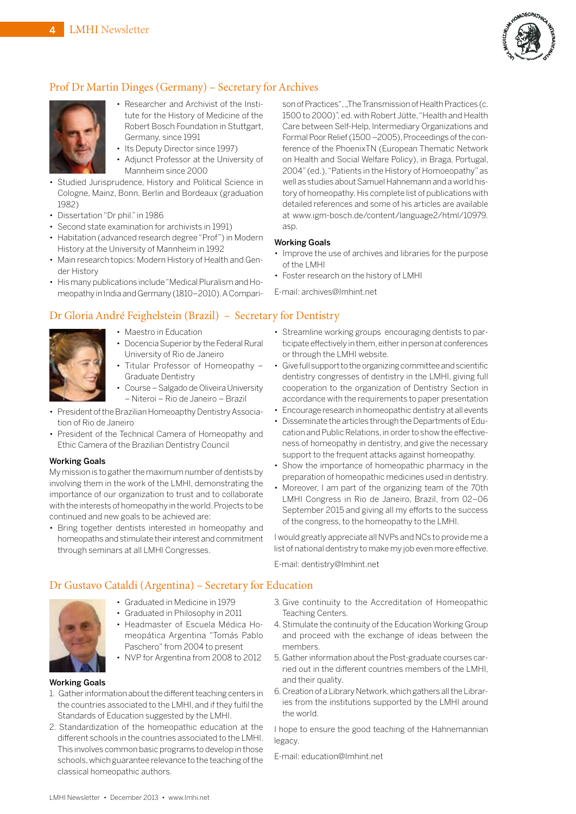

# Prof Dr Martin Dinges (Germany) – Secretary for Archives



- Researcher and Archivist of the Institute for the History of Medicine of the Robert Bosch Foundation in Stuttgart, Germany, since 1991
- Its Deputy Director since 1997)
- Adjunct Professor at the University of Mannheim since 2000
- Studied Jurisprudence, History and Political Science in Cologne, Mainz, Bonn, Berlin and Bordeaux (graduation 1982)
- Dissertation "Dr phil." in 1986
- Second state examination for archivists in 1991)
- Habitation (advanced research degree "Prof") in Modern History at the University of Mannheim in 1992
- Main research topics: Modern History of Health and Gender History
- His many publications include "Medical Pluralism and Homeopathy in India and Germany (1810–2010).ACompari-

### Dr Gloria André Feighelstein (Brazil) – Secretary for Dentistry



- Maestro in Education
- Docencia Superior by the Federal Rural University of Rio de Janeiro
- Titular Professor of Homeopathy –
- Graduate Dentistry • Course – Salgado de Oliveira University – Niteroi – Rio de Janeiro – Brazil
- 
- President oftheBrazilian Homeoapthy DentistryAssociation of Rio de Janeiro
- President of the Technical Camera of Homeopathy and Ethic Camera of the Brazilian Dentistry Council

#### Working Goals

My mission is to gather the maximum number of dentists by involving them in the work of the LMHI, demonstrating the importance of our organization to trust and to collaborate with the interests of homeopathy in the world. Projects to be continued and new goals to be achieved are:

• Bring together dentists interested in homeopathy and homeopaths and stimulate their interest and commitment through seminars at all LMHI Congresses.

Working Goals • Improve the use of archives and libraries for the purpose of the LMHI • Foster research on the history of LMHI E-mail: [archives@lmhint.net](mailto:archives@lmhint.net)

asp.

• Streamline working groups encouraging dentists to participate effectively in them, either in person at conferences or through the LMHI website.

son of Practices", "The Transmission of Health Practices (c. 1500 to 2000)", ed. with Robert Jütte,"Health and Health Care between Self-Help, Intermediary Organizations and Formal Poor Relief (1500 - 2005), Proceedings of the conference of the PhoenixTN (European Thematic Network on Health and Social Welfare Policy), in Braga, Portugal, 2004" (ed.), "Patients in the History of Homoeopathy" as well as studies about Samuel Hahnemann and a world history of homeopathy. His complete list of publications with detailed references and some of his articles are available at [www.igm-bosch.de/content/language2/html/10979.](http://www.igm-bosch.de/content/language2/html/10979)

- Give full support to the organizing committee and scientific dentistry congresses of dentistry in the LMHI, giving full cooperation to the organization of Dentistry Section in accordance with the requirements to paper presentation
- Encourage research in homeopathic dentistry at all events
- Disseminate the articles through the Departments ofEducation and Public Relations, in order to show the effectiveness of homeopathy in dentistry, and give the necessary support to the frequent attacks against homeopathy.
- Show the importance of homeopathic pharmacy in the preparation of homeopathic medicines used in dentistry.
- Moreover, I am part of the organizing team of the 70th LMHI Congress in Rio de Janeiro, Brazil, from 02–06 September 2015 and giving all my efforts to the success of the congress, to the homeopathy to the LMHI.

I would greatly appreciate all NVPs and NCs to provide me a list of national dentistry to make my job even more effective.

E-mail: [dentistry@lmhint.net](mailto:dentistry@lmhint.net)

#### Dr Gustavo Cataldi (Argentina) – Secretary for Education

- Graduated in Medicine in 1979 • Graduated in Philosophy in 2011
	- Headmaster of Escuela Médica Homeopática Argentina "Tomás Pablo Paschero" from 2004 to present
	- NVP for Argentina from 2008 to 2012

#### Working Goals

- 1. Gather information about the different teaching centers in the countries associated to the LMHI, and if they fulfil the Standards of Education suggested by the LMHI.
- 2. Standardization of the homeopathic education at the different schools in the countries associated to the LMHI. This involves common basic programs to develop in those schools, which guarantee relevance to the teaching of the classical homeopathic authors.
- 3. Give continuity to the Accreditation of Homeopathic Teaching Centers.
- 4. Stimulate the continuity of the Education Working Group and proceed with the exchange of ideas between the members.
- 5. Gather information about the Post-graduate courses carried out in the different countries members of the LMHI, and their quality.
- 6. Creation of a Library Network, which gathers all the Libraries from the institutions supported by the LMHI around the world.

I hope to ensure the good teaching of the Hahnemannian legacy.

E-mail: [education@lmhint.net](mailto:education@lmhint.net)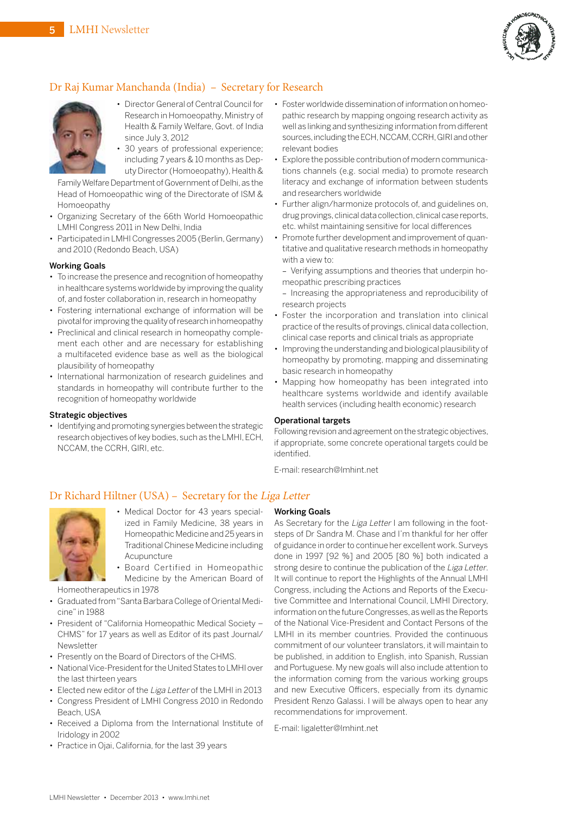

# Dr Raj Kumar Manchanda (India) – Secretary for Research



• Director General of Central Council for Research in Homoeopathy, Ministry of Health & Family Welfare, Govt. of India since July 3, 2012

• 30 years of professional experience; including 7 years & 10 months as Deputy Director (Homoeopathy), Health &

Family Welfare Department of Government of Delhi, as the Head of Homoeopathic wing of the Directorate of ISM & Homoeopathy

- Organizing Secretary of the 66th World Homoeopathic LMHI Congress 2011 in New Delhi, India
- Participated in LMHI Congresses 2005 (Berlin, Germany) and 2010 (Redondo Beach, USA)

#### Working Goals

- To increase the presence and recognition of homeopathy in healthcare systems worldwide by improving the quality of, and foster collaboration in, research in homeopathy
- Fostering international exchange of information will be pivotal for improving the quality of research in homeopathy
- Preclinical and clinical research in homeopathy complement each other and are necessary for establishing a multifaceted evidence base as well as the biological plausibility of homeopathy
- International harmonization of research guidelines and standards in homeopathy will contribute further to the recognition of homeopathy worldwide

#### Strategic objectives

• Identifying and promoting synergies between the strategic research objectives of key bodies, such as the LMHI,ECH, NCCAM, the CCRH, GIRI, etc.

- Foster worldwide dissemination of information on homeopathic research by mapping ongoing research activity as well as linking and synthesizing information from different sources, including the ECH, NCCAM, CCRH, GIRI and other relevant bodies
- Explore the possible contribution of modern communications channels (e.g. social media) to promote research literacy and exchange of information between students and researchers worldwide
- Further align/harmonize protocols of, and guidelines on, drug provings, clinical data collection, clinical case reports, etc. whilst maintaining sensitive for local differences
- Promote further development and improvement of quantitative and qualitative research methods in homeopathy with a view to:
- Verifying assumptions and theories that underpin homeopathic prescribing practices
- Increasing the appropriateness and reproducibility of research projects
- Foster the incorporation and translation into clinical practice of the results of provings, clinical data collection, clinical case reports and clinical trials as appropriate
- Improving the understanding and biological plausibility of homeopathy by promoting, mapping and disseminating basic research in homeopathy
- Mapping how homeopathy has been integrated into healthcare systems worldwide and identify available health services (including health economic) research

#### Operational targets

Following revision and agreement on the strategic objectives, if appropriate, some concrete operational targets could be identified.

E-mail: [research@lmhint.net](mailto:research@lmhint.net)

### Dr Richard Hiltner (USA) – Secretary for the Liga Letter



• Medical Doctor for 43 years specialized in Family Medicine, 38 years in Homeopathic Medicine and 25 years in TraditionalChinese Medicine including Acupuncture

• Board Certified in Homeopathic Medicine by the American Board of

Homeotherapeutics in 1978

- Graduated from"SantaBarbaraCollege of Oriental Medicine" in 1988
- President of "California Homeopathic Medical Society CHMS" for 17 years as well as Editor of its past Journal/ Newsletter
- Presently on the Board of Directors of the CHMS.
- National Vice-President for the United States to LMHI over the last thirteen years
- Elected new editor of the Liga Letter of the LMHI in 2013
- Congress President of LMHI Congress 2010 in Redondo Beach, USA
- Received a Diploma from the International Institute of Iridology in 2002
- Practice in Ojai, California, for the last 39 years

#### Working Goals

As Secretary for the Liga Letter I am following in the footsteps of Dr Sandra M. Chase and I'm thankful for her offer of guidance in order to continue her excellent work. Surveys done in 1997 [92 %] and 2005 [80 %] both indicated a strong desire to continue the publication of the Liga Letter. It will continue to report the Highlights of the Annual LMHI Congress, including the Actions and Reports of the Executive Committee and International Council, LMHI Directory, information on the future Congresses, as well as the Reports of the National Vice-President and Contact Persons of the LMHI in its member countries. Provided the continuous commitment of our volunteer translators, it will maintain to be published, in addition to English, into Spanish, Russian and Portuguese. My new goals will also include attention to the information coming from the various working groups and new Executive Officers, especially from its dynamic President Renzo Galassi. I will be always open to hear any recommendations for improvement.

E-mail: [ligaletter@lmhint.net](mailto:ligaletter@lmhint.net)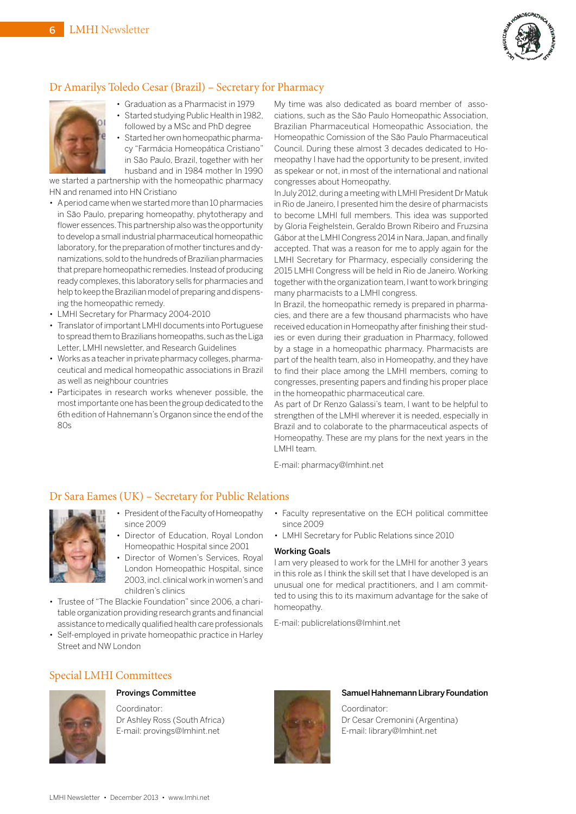

# Dr Amarilys Toledo Cesar (Brazil) – Secretary for Pharmacy



- Graduation as a Pharmacist in 1979 • Started studying Public Health in 1982,
- followed by a MSc and PhD degree • Started her own homeopathic pharmacy "Farmácia Homeopática Cristiano"

in São Paulo, Brazil, together with her husband and in 1984 mother In 1990 we started a partnership with the homeopathic pharmacy

HN and renamed into HN Cristiano

- A period came when we started more than 10 pharmacies in São Paulo, preparing homeopathy, phytotherapy and flower essences. This partnership also was the opportunity todevelopa small industrial pharmaceutical homeopathic laboratory, for the preparation of mother tinctures and dynamizations, sold to the hundreds of Brazilian pharmacies that prepare homeopathic remedies. Instead of producing ready complexes, this laboratory sells for pharmacies and help to keep the Brazilian model of preparing and dispensing the homeopathic remedy.
- LMHI Secretary for Pharmacy 2004-2010
- Translator of important LMHI documents into Portuguese to spread them to Brazilians homeopaths, such as the Liga Letter, LMHI newsletter, and Research Guidelines
- Works as a teacher in private pharmacy colleges, pharmaceutical and medical homeopathic associations in Brazil as well as neighbour countries
- Participates in research works whenever possible, the mostimportante one has been the group dedicated to the 6th edition of Hahnemann's Organon since the end of the 80s

My time was also dedicated as board member of associations, such as the São Paulo Homeopathic Association, Brazilian Pharmaceutical Homeopathic Association, the Homeopathic Comission of the São Paulo Pharmaceutical Council. During these almost 3 decades dedicated to Homeopathy I have had the opportunity to be present, invited as spekear or not, in most of the international and national congresses about Homeopathy.

In July 2012, during a meeting with LMHI President Dr Matuk in Rio de Janeiro, I presented him the desire of pharmacists to become LMHI full members. This idea was supported by Gloria Feighelstein, Geraldo Brown Ribeiro and Fruzsina Gábor at the LMHI Congress 2014 in Nara, Japan, and finally accepted. That was a reason for me to apply again for the LMHI Secretary for Pharmacy, especially considering the 2015 LMHI Congress will be held in Rio de Janeiro. Working together with the organization team, I want to work bringing many pharmacists to a LMHI congress.

In Brazil, the homeopathic remedy is prepared in pharmacies, and there are a few thousand pharmacists who have received education in Homeopathy after finishing their studies or even during their graduation in Pharmacy, followed by a stage in a homeopathic pharmacy. Pharmacists are part of the health team, also in Homeopathy, and they have to find their place among the LMHI members, coming to congresses, presenting papers and finding his proper place in the homeopathic pharmaceutical care.

As part of Dr Renzo Galassi's team, I want to be helpful to strengthen of the LMHI wherever it is needed, especially in Brazil and to colaborate to the pharmaceutical aspects of Homeopathy. These are my plans for the next years in the LMHI team.

E-mail: [pharmacy@lmhint.net](mailto:pharmacy@lmhint.net)

### Dr Sara Eames (UK) – Secretary for Public Relations



- President of the Faculty of Homeopathy since 2009
- Director of Education, Royal London Homeopathic Hospital since 2001
- Director of Women's Services, Royal London Homeopathic Hospital, since 2003,incl.clinicalwork inwomen's and children's clinics
- Trustee of "The Blackie Foundation" since 2006, a charitable organization providing research grants and financial assistance to medically qualified health care professionals
- Self-employed in private homeopathic practice in Harley Street and NW London
- Faculty representative on the ECH political committee since 2009
- LMHI Secretary for Public Relations since 2010

#### Working Goals

I am very pleased to work for the LMHI for another 3 years in this role as I think the skill set that I have developed is an unusual one for medical practitioners, and I am committed to using this to its maximum advantage for the sake of homeopathy.

E-mail: [publicrelations@lmhint.net](mailto:publicrelations@lmhint.net)

# Special LMHI Committees



# Provings Committee

Coordinator: Dr Ashley Ross (South Africa) E-mail: [provings@lmhint.net](mailto:provings@lmhint.net)



#### Samuel Hahnemann Library Foundation

Coordinator: Dr Cesar Cremonini (Argentina) E-mail: [library@lmhint.net](mailto:library@lmhint.net)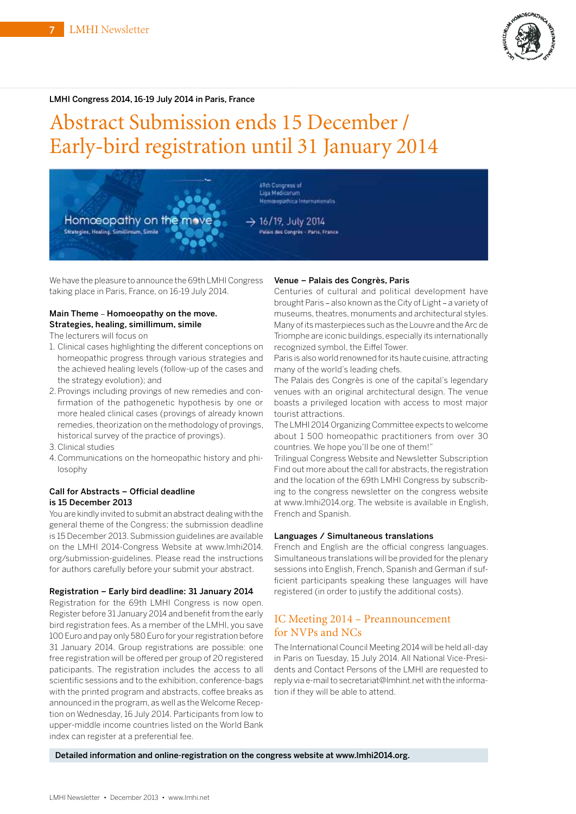

#### LMHI Congress 2014, 16-19 July 2014 in Paris, France

# Abstract Submission ends 15 December / Early-bird registration until 31 January 2014



We have the pleasure to announce the 69th LMHICongress taking place in Paris, France, on 16-19 July 2014.

#### Main Theme – Homoeopathy on the move. Strategies, healing, simillimum, simile

- The lecturers will focus on
- 1. Clinical cases highlighting the different conceptions on homeopathic progress through various strategies and the achieved healing levels (follow-up of the cases and the strategy evolution); and
- 2.Provings including provings of new remedies and confirmation of the pathogenetic hypothesis by one or more healed clinical cases (provings of already known remedies, theorization on the methodology of provings, historical survey of the practice of provings).
- 3.Clinical studies
- 4.Communications on the homeopathic history and philosophy

#### Call for Abstracts – Official deadline is 15 December 2013

You are kindly invited to submit an abstract dealing with the general theme of the Congress; the submission deadline is 15 December 2013. Submission guidelines are available on the LMHI 2014-Congress Website at [www.lmhi2014.](http://www.lmhi2014) org/submission-guidelines. Please read the instructions for authors carefully before your submit your abstract.

#### Registration – Early bird deadline: 31 January 2014

Registration for the 69th LMHI Congress is now open. Register before 31 January 2014 and benefit from the early bird registration fees. As a member of the LMHI, you save 100 Euro and pay only 580 Euro for your registration before 31 January 2014. Group registrations are possible: one free registration will be offered per group of 20 registered paticipants. The registration includes the access to all scientific sessions and to the exhibition, conference-bags with the printed program and abstracts, coffee breaks as announced in the program, as well as theWelcome Reception on Wednesday, 16 July 2014. Participants from low to upper-middle income countries listed on the World Bank index can register at a preferential fee.

#### Venue – Palais des Congrès, Paris

Centuries of cultural and political development have brought Paris – also known as the City of Light – a variety of museums, theatres, monuments and architectural styles. Many of its masterpieces such as the Louvre and theArc de Triomphe are iconic buildings, especially its internationally recognized symbol, the Eiffel Tower.

Paris is also world renowned for its haute cuisine, attracting many of the world's leading chefs.

The Palais des Congrès is one of the capital's legendary venues with an original architectural design. The venue boasts a privileged location with access to most major tourist attractions.

The LMHI 2014 Organizing Committee expects to welcome about 1 500 homeopathic practitioners from over 30 countries. We hope you'll be one of them!"

Trilingual Congress Website and Newsletter Subscription Find out more about the call for abstracts, the registration and the location of the 69th LMHI Congress by subscribing to the congress newsletter on the congress website at [www.lmhi2014.org.](http://www.lmhi2014.org) The website is available in English, French and Spanish.

#### Languages / Simultaneous translations

French and English are the official congress languages. Simultaneous translations will be provided for the plenary sessions into English, French, Spanish and German if sufficient participants speaking these languages will have registered (in order to justify the additional costs).

### IC Meeting 2014 – Preannouncement for NVPs and NCs

The International Council Meeting 2014 will be held all-day in Paris on Tuesday, 15 July 2014. All National Vice-Presidents and Contact Persons of the LMHI are requested to reply via e-mail to [secretariat@lmhint.net](mailto:secretariat@lmhint.net) with the information if they will be able to attend.

Detailed information and online-registration on the congress website at [www.lmhi2014.org.](http://www.lmhi2014.org)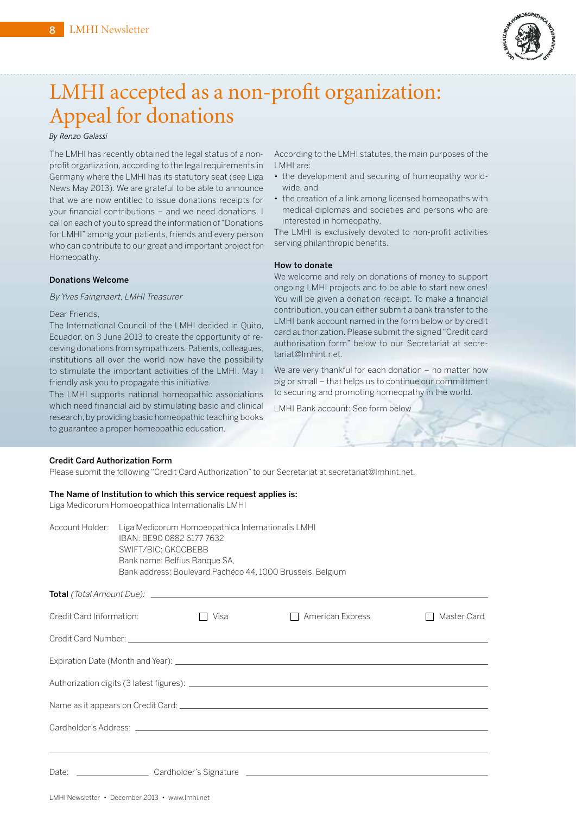

# LMHI accepted as a non-profit organization: Appeal for donations

#### *By Renzo Galassi*

The LMHI has recently obtained the legal status of a nonprofit organization, according to the legal requirements in Germany where the LMHI has its statutory seat (see Liga News May 2013). We are grateful to be able to announce that we are now entitled to issue donations receipts for your financial contributions – and we need donations. I call on each of you to spread the information of "Donations for LMHI" among your patients, friends and every person who can contribute to our great and important project for Homeopathy.

#### Donations Welcome

#### By Yves Faingnaert, LMHI Treasurer

Dear Friends,

The International Council of the LMHI decided in Quito, Ecuador, on 3 June 2013 to create the opportunity of receiving donations from sympathizers.Patients, colleagues, institutions all over the world now have the possibility to stimulate the important activities of the LMHI. May I friendly ask you to propagate this initiative.

The LMHI supports national homeopathic associations which need financial aid by stimulating basic and clinical research, by providing basic homeopathic teaching books to guarantee a proper homeopathic education.

According to the LMHI statutes, the main purposes of the LMHI are:

- the development and securing of homeopathy worldwide, and
- the creation of a link among licensed homeopaths with medical diplomas and societies and persons who are interested in homeopathy.

The LMHI is exclusively devoted to non-profit activities serving philanthropic benefits.

#### How to donate

We welcome and rely on donations of money to support ongoing LMHI projects and to be able to start new ones! You will be given a donation receipt. To make a financial contribution, you can either submit a bank transfer to the LMHI bank account named in the form below or by credit card authorization. Please submit the signed "Credit card authorisation form" below to our Secretariat at secre[tariat@lmhint.net.](mailto:secre-tariat@lmhint.net)

We are very thankful for each donation - no matter how big or small – that helps us to continue our committment to securing and promoting homeopathy in the world.

LMHI Bank account: See form below

#### Credit Card Authorization Form

Please submit the following "Credit Card Authorization" to our Secretariat at [secretariat@lmhint.net.](mailto:secretariat@lmhint.net)

#### The Name of Institution to which this service request applies is:

Liga Medicorum Homoeopathica Internationalis LMHI

|                          | Account Holder: Liga Medicorum Homoeopathica Internationalis LMHI<br>IBAN: BE90 0882 6177 7632<br>SWIFT/BIC: GKCCBEBB<br>Bank name: Belfius Banque SA,<br>Bank address: Boulevard Pachéco 44, 1000 Brussels, Belgium |      |                                                                                                                                                                                                                                     |             |
|--------------------------|----------------------------------------------------------------------------------------------------------------------------------------------------------------------------------------------------------------------|------|-------------------------------------------------------------------------------------------------------------------------------------------------------------------------------------------------------------------------------------|-------------|
|                          |                                                                                                                                                                                                                      |      |                                                                                                                                                                                                                                     |             |
| Credit Card Information: |                                                                                                                                                                                                                      | Visa | American Express                                                                                                                                                                                                                    | Master Card |
|                          |                                                                                                                                                                                                                      |      |                                                                                                                                                                                                                                     |             |
|                          |                                                                                                                                                                                                                      |      |                                                                                                                                                                                                                                     |             |
|                          |                                                                                                                                                                                                                      |      |                                                                                                                                                                                                                                     |             |
|                          |                                                                                                                                                                                                                      |      |                                                                                                                                                                                                                                     |             |
|                          |                                                                                                                                                                                                                      |      | Cardholder's Address: <u>Communication</u> Cardinal Communication of the Communication of the Communication of the Communication of the Communication of the Communication of the Communication of the Communication of the Communi |             |
|                          |                                                                                                                                                                                                                      |      |                                                                                                                                                                                                                                     |             |
|                          |                                                                                                                                                                                                                      |      |                                                                                                                                                                                                                                     |             |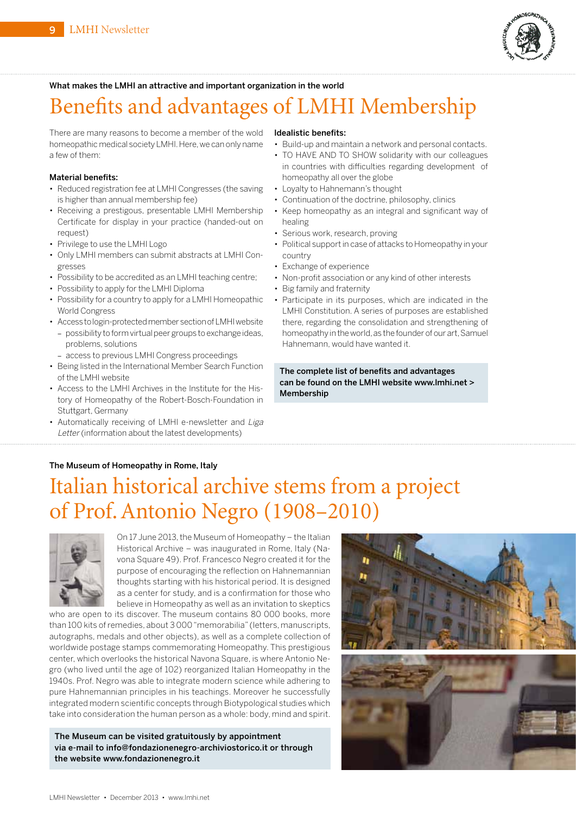

#### What makes the LMHI an attractive and important organization in the world

# Benefits and advantages of LMHI Membership

There are many reasons to become a member of the wold homeopathic medical society LMHI. Here, we can only name a few of them:

#### Material benefits:

- Reduced registration fee at LMHI Congresses (the saving is higher than annual membership fee)
- Receiving a prestigous, presentable LMHI Membership Certificate for display in your practice (handed-out on request)
- Privilege to use the LMHI Logo
- Only LMHI members can submit abstracts at LMHI Congresses
- Possibility to be accredited as an LMHI teaching centre;
- Possibility to apply for the LMHI Diploma
- Possibility for a country to apply for a LMHI Homeopathic World Congress
- Accesstologin-protectedmembersectionofLMHIwebsite - possibility to form virtual peer groups to exchange ideas, problems, solutions
	- access to previous LMHI Congress proceedings
- Being listed in the International Member Search Function of the LMHI website
- Access to the LMHI Archives in the Institute for the History of Homeopathy of the Robert-Bosch-Foundation in Stuttgart, Germany
- Automatically receiving of LMHI e-newsletter and Liga Letter (information about the latest developments)

#### Idealistic benefits:

- Build-up and maintain a network and personal contacts. • TO HAVE AND TO SHOW solidarity with our colleagues in countries with difficulties regarding development of
- homeopathy all over the globe • Loyalty to Hahnemann's thought
- Continuation of the doctrine, philosophy, clinics
- Keep homeopathy as an integral and significant way of healing
- Serious work, research, proving
- Political support in case of attacks to Homeopathy in your country
- Exchange of experience
- Non-profit association or any kind of other interests
- Big family and fraternity
- Participate in its purposes, which are indicated in the LMHI Constitution. A series of purposes are established there, regarding the consolidation and strengthening of homeopathy in the world, as the founder of our art, Samuel Hahnemann, would have wanted it.

#### The complete list of benefits and advantages can be found on the LMHI website [www.lmhi.net >](http://www.lmhi.net)  Membership

#### The Museum of Homeopathy in Rome, Italy

# Italian historical archive stems from a project of Prof. Antonio Negro (1908–2010)



On 17 June 2013, the Museum of Homeopathy - the Italian Historical Archive – was inaugurated in Rome, Italy (Navona Square 49). Prof. Francesco Negro created it for the purpose of encouraging the reflection on Hahnemannian thoughts starting with his historical period. It is designed as a center for study, and is a confirmation for those who believe in Homeopathy as well as an invitation to skeptics

who are open to its discover. The museum contains 80 000 books, more than 100 kits ofremedies, about 3 000"memorabilia" (letters, manuscripts, autographs, medals and other objects), as well as a complete collection of worldwide postage stamps commemorating Homeopathy. This prestigious center, which overlooks the historical Navona Square, is where Antonio Negro (who lived until the age of 102) reorganized Italian Homeopathy in the 1940s. Prof. Negro was able to integrate modern science while adhering to pure Hahnemannian principles in his teachings. Moreover he successfully integrated modern scientific concepts through Biotypological studies which take into consideration the human person as a whole: body, mind and spirit.

The Museum can be visited gratuitously by appointment via e-mail to [info@fondazionenegro-archiviostorico.it or](mailto:info@fondazionenegro-archiviostorico.it) through the website [www.fondazionenegro.it](http://www.fondazionenegro.it)